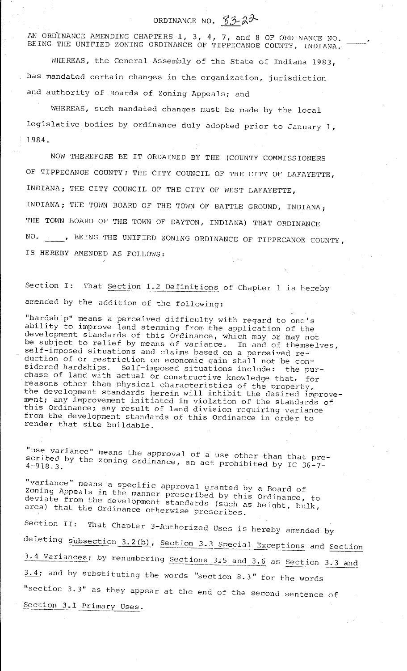# ORDINANCE NO.  $83-22$

'

AN ORDINANCE AMENDING CHAPTERS 1, 3, 4, 7, and 8 OF ORDINANCE NO. BEING THE UNIFIED ZONING ORDINANCE OF TIPPECANOE COUNTY, INDIANA.

WHEREAS, the General Assembly of the State of Indiana 1983, has mandated certain changes in the organization, jurisdiction and authority of Boards of Zoning Appeals; and

WHEREAS, such mandated changes must be made by the local legislative bodies by ordinance duly adopted prior to January 1, 1984.

NOW THEREFORE BE IT ORDAINED BY THE (COUNTY COMMISSIONERS OF TIPPECANOE COUNTY; THE CITY COUNCIL OF THE CITY OF LAFAYETTE, INDIANA; THE CITY COUNCIL OF THE CITY OF WEST LAFAYETTE, INDIANA; THE TOWN BOARD OF THE TOWN OF BATTLE GROUND, INDIANA; THE TOWN BOARD OF THE TOWN OF DAYTON, INDIANA) THAT ORDINANCE NO. , BEING THE UNIFIED ZONING ORDINANCE OF TIPPECANOE COUNTY, IS HEREBY AMENDED AS FOLLOWS:

Section I: That Section 1.2 Definitions of Chapter 1 is hereby amended by the addition of the following:

"hardship" means a perceived difficulty with regard to one's ability to improve land stemming from the application of the development standards of this Ordinance, which may or may not be subject to relief by means of variance. In and of themselves, self-imposed situations and claims based on a perceived reduction of or restriction on economic gain shall not be considered hardships. Self-imposed situations include: the purchase of land with actual or constructive knowledge that, for reasons other than physical characteristics of the property, the development standards herein will inhibit the desired improvement; any improvement initiated in violation of the standards of this Ordinance; any result of land division requiring variance from the development standards of this Ordinance in order to render that site buildable.

**"use variance"**  means the approval of a use other than that prescribed by the scribed by the zoning ordinance, an act prohibited by IC 36-7-

"variance" means ·a specific approval granted by a Board of Zoning Appeals in the manner prescribed by this Ordinance, to deviate from the development standards (such as heiqht, bulk, area) that the Ordinance otherwise prescribes.

Section II: That Chapter 3-Authorized Uses is hereby amended by deleting subsection 3.2(b), Section 3.3 Special Exceptions and Section 3.4 Variances; by renumbering Sections 3.5 and 3.6 as Section 3.3 and 3.4; and by substituting the words "section 8.3" for the words "section  $3.3$ " as they appear at the end of the second sentence of Section 3.1 Primary Uses.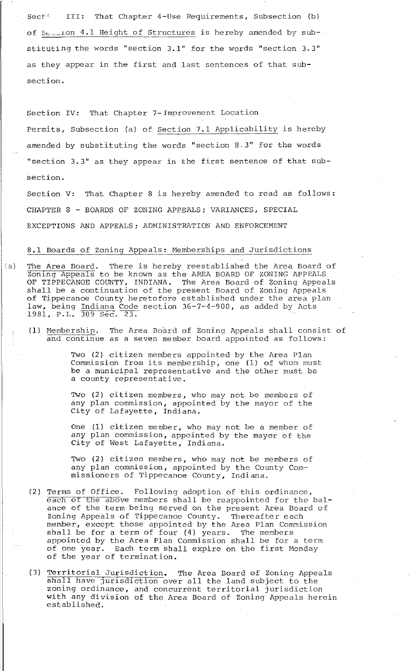Sect' III: That Chapter 4-Use Requirements, Subsection (b) of Se...ion 4.1 Height of Structures is hereby amended by substituting the words "section 3.1" for the words "section 3.3" as they appear in the first and last sentences of that subsection.

Section IV: That Chapter 7-Improvement Location Permits, Subsection (a) of Section 7.1 Applicability is hereby amended by substituting the words "section 8-3" for the words "section 3. 3" as they appear in the first sentence of that subsection.

Section V: That Chapter 8 is hereby amended to read as follows: CHAPTER 8 - BOARDS OF ZONING APPEALS; VARIANCES, SPECIAL EXCEPTIONS AND APPEALS; ADMINISTRATION AND ENFORCEMENT

## 8.1 Boards of Zoning Appeals: Memberships and Jurisdictions

- (a) The Area Board. There is hereby reestablished the Area Board of Zoning Appeals to be known as the AREA BOARD OF ZONING APPEALS OF TIPPECANOE COUNTY, INDIANA. The Area Board of Zoning Appeals shall be a continuation of the present Board of Zoning Appeals of Tippecanoe County heretofore established under the area plan law, being Indiana Code section 36-7-4-900, as added by Acts 1981, P.L. 309 Sec. 23.
	- (1) Membership. The Area Board of Zoning Appeals shall consist of and continue. as a seven member board appointed as follows:

Two (2) citizen members appointed by the Area Plan Commission from its membership, one (1) of whom must be a municipal representative and the other must be a county representative.

Two (2) citizen members, who may not be members of any plan commission, appointed by the mayor of the City of Lafayette, Indiana.

One (1) citizen member, who may not be a member of any plan commission, appointed by the mayor of the City of West Lafayette, Indiana.

Two (2) citizen members, who may not be members of any plan commission, appointed by the County Commissioners of Tippecanoe County, Indiana.

- (2) Terms of Office. Following adoption of this ordinance, each of the above members shall be reappointed for the balance of the term being served on the present Area Board of Zoning Appeals of Tippecanoe County. Thereafter each member, except those appointed by the Area Plan Commission  $s$ hall be for a term of four (4) years. The members appointed by the Area Plan Commission shall be for a term appointed by the nica fian commission shall be for a term<br>of one year. Each term shall expire on the first Monday of the year of termination.
- (3) Territorial Jurisdiction. The Area Board of Zoning Appeals shall have jurisdiction, the fied board of soning Appearant shall have jurisdiction over all the land subject to the zoning ordinance, and concurrent territorial jurisdiction with any division of the Area Board of Zoning Appeals herein established.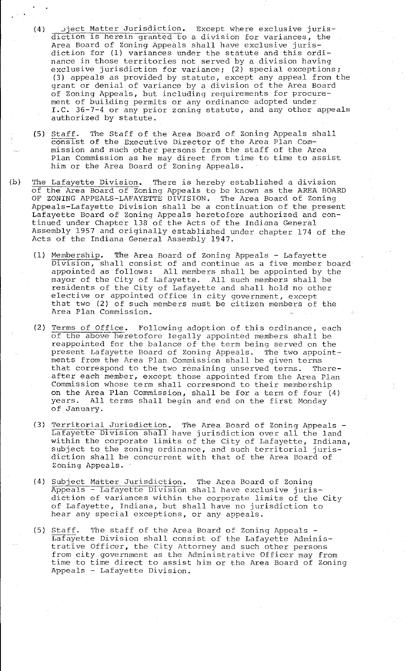- $(4)$  . Jject Matter Jurisdiction. Except where exclusive jurisdiction is herein granted to a division for variances, the Area Board of Zoning Appeals shall have exclusive jurisdiction for (1) variances under the statute and this ordinance in those territories not served by a division having exclusive jurisdiction for variance; (2) special exceptions; (3) appeals as provided by statute, except any appeal from the grant or denial of variance by a division of the Area Board of Zoning Appeals, but including requirements for procurement of building permits or any ordinance adopted under I.C. 36-7-4 or any prior zoning statute, and any other appeals authorized by statute.
- (5) Staff. The Staff of the Area Board of Zoning Appeals shall consist of the Executive Director of the Area Plan Commission and such other persons from the staff of the Area Plan Commission as he may direct from time to time to assist him or the Area Board of Zoning Appeals.
- (b) The Lafayette Division. There is hereby established a division of the Area Board of Zoning Appeals to be known as the AREA BOARD OF ZONING APPEALS-LAFAYETTE DIVISION. The Area Board of Zoning Appeals-Lafayette Division shall be a continuation of the present Lafayette Board of Zoning Appeals heretofore authorized and continued under Chapter 138 of the Acts of the Indiana General Assembly 1957 and originally established under chapter 174 of the Acts of the Indiana General Assembly 1947.
	- (1) Membership. The Area Board of Zoning Appeals Lafayette Division, shall consist of and continue as a five member board appointed as follows: All members shall be appointed by the mayor of the City of Lafayette. All such members shall be residents of the City of Lafayette and shall hold no other elective or appointed office in city qovernment, except that two (2) of such members must be citizen members of the Area Plan Commission.
	- (2) Terms of Office. Following adoption of this ordinance, each of the above heretofore legally appointed members shall be reappointed for the balance of the term being served on the present Lafayette Board of Zoning Appeals. The two appointments from the Area Plan. Commission shall be given terms that correspond to the two remaining unserved terms. Thereafter each member, except those appointed from the Area Plan Commission whose term shall correspond to their membership on the Area Plan Commission, shall be for a term of four (4) years. All terms shall begin and end on the first Monday of January.
	- (3) Territorial Jurisdiction. The Area Board of Zoning Appeals Lafayette Division shall have jurisdiction over all the land within the corporate limits of the City of Lafayette, Indiana, within the corporate finates of the city of Barayette, Indian<br>subject to the zoning ordinance, and such territorial jurisdiction shall be concurrent with that of the Area Board of Zoning Appeals.
	- (4) Subject Matter Jurisdiction. The Area Board of Zoning Appeals - Lafayette Division shall have exclusive jurisdiction of variances within the corporate limits of the City of Lafayette, Indiana, but shall have no jurisdiction to hear any special exceptions, or any appeals.
	- (5) Staff. The staff of the Area Board of Zoning Appeals Lafayette Division shall consist of the Lafayette Administrative Officer, the City Attorney and such other persons from city government as the Administrative Officer may from time to time direct to assist him or the Area Board of Zoning Appeals - Lafayette Division.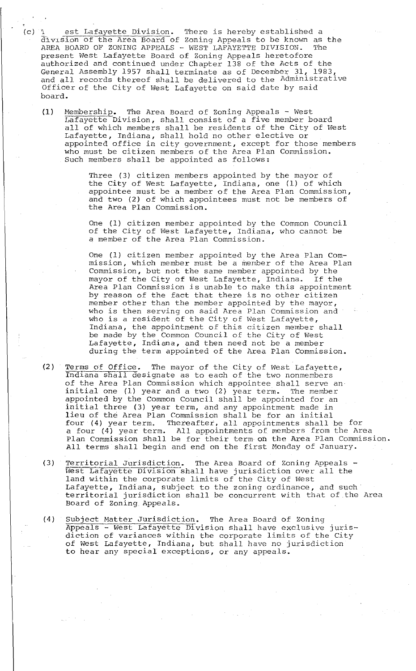- (c) 1 est Lafayette Division. There is hereby established a division of the Area Board of Zoning Appeals to be known as the AREA BOARD OF ZONING APPEALS - WEST LAFAYETTE DIVISION. The present West Lafayette Board of Zoning Appeals heretofore authorized and continued under Chapter 138 of the Acts of the General Assembly 1957 shall terminate as of December 31, 1983, deneral Assembly 1997 shart terminate as of becember 91, 1989, Officer of the City of West Lafayette on said date by said board.
	- (1) Membership. The Area Board of Zoning Appeals West Lafayette Division, shall consist of a five member board Batayeer Broision, shall consist of a five member board Lafayette, Indiana, shall hold no other elective or appointed office in city government, except for those members who must be citizen members of the Area Plan Commission. Such members shall be appointed as follows:

Three (3) citizen members appointed by the mayor of the City of west Lafayette, Indiana, one (1) of which appointee must be a member of the Area Plan Commission, and two (2) of which appointees must not be members of the Area Plan Commission.

One (1) citizen member appointed by the Common Council of the City of West Lafayette, Indiana, who cannot be a member of the Area Plan Commission.

One (1) citizen member appointed by the Area Plan Commission, which member must be a member of the Area Plan Commission, but not the same member appointed by the mayor of the City of West Lafayette, Indiana. If the mayor of the city of west barayette, indiana. If the<br>Area Plan Commission is unable to make this appointment by reason of the fact that there is no other citizen member other than the member appointed by the mayor, who is then serving on said Area Plan Commission and who is a resident of the City of West Lafayette, and is a resident of the endy of west fanayeees, be made by the Common Council of the City of West Lafayette, Indiana, and then need not be a member during the term appointed of the Area Plan Commission.

- (2) Terms of Office. The mayor of the City of West Lafayette, Indiana shall designate as to each of the two nonmembers of the Area Plan Commission which appointee shall serve an initial one (1) year and a two (2) year term. The member appointed by the Common Council shall be appointed for an initial three (3) year term, and any appointment made in lieu of the Area Plan Commission shall be for an initial four (4) year term. Thereafter, all appointments shall be for a four (4) year term. All appointments of members from the Area Plan Commission shall be for their term on the Area Plan Commission. All terms shall begin and end on the first Monday of January.
- (3) Territorial Jurisdiction. The Area Board of Zoning Appeals West Lafayette Division shall have jurisdiction over all the land within the corporate limits of the City of west Lafayette, Indiana, subject to the zoning ordinance, and such territorial jurisdiction shall be concurrent with that of the Area Board of Zoning Appeals.
- (4) Subject Matter Jurisdiction. The Area Board of Zoning Appeals - West Lafayette Division shall have exclusive jurisdiction of variances within the corporate limits of the City of west Lafayette, Indiana, but shall have no jurisdiction to hear any special exceptions, or any appeals.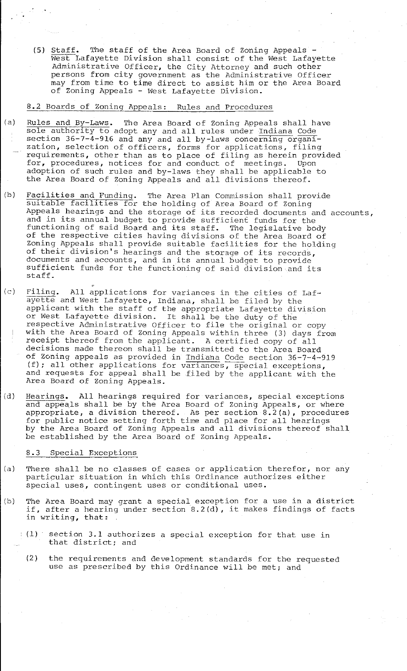(5) Staff. The staff of the Area Board of Zoning Appeals - West Lafayette Division shall consist of the West Lafayette Administrative Officer, the City Attorney and such other persons from city government as the Administrative Officer may from time to time direct to assist him or the Area Board of Zoning Appeals - West Lafayette Division.

## 8.2 Boards of Zoning Appeals: Rules and Procedures

- (a) Rules and By-Laws. The Area Board of Zoning Appeals shall have ndies and by Baws. The Area Board of Boning Appears shart has section 36-7-4-916 and any and all by-laws concerning organization, selection of officers, forms for applications, filing requirements, other than as to place of filing as herein provided for, procedures, notices for and conduct of meetings. Upon adoption of such rules and by-laws they shall be applicable to the Area Board of Zoning Appeals and all divisions thereof.
- (b) Facilities and Funding. The Area Plan Commission shall provide suitable facilities for the holding of Area Board of Zoning Appeals hearings and the storage of its recorded documents and accounts, and in its annual budget to provide sufficient funds for the<br>functioning of said Board and its staff. The legislative body functioning of said Board and its staff. of the respective cities having divisions of the Area Board of Zoning Appeals shall provide suitable facilities for the holding of their division's hearings and the storage of its records, documents and accounts, and in its annual budget to provide sufficient funds for the functioning of said division and its staff.
- (c) Filing. All applications for variances in the cities of Lafayette and West Lafayette, Indiana, shall be filed by the applicant with the staff of the appropriate Lafayette division or West Lafayette division. It shall be the duty of the respective Administrative Officer to file the original or copy with the Area Board of Zoning Appeals within three (3) days from receipt thereof from the applicant. A certified copy of all decisions made thereon shall be transmitted to the Area Board of Zoning appeals as provided in Indiana Code section 36-7-4-919 (f); all other applications for variances, special exceptions, and requests for appeal shall be filed by the applicant with the Area Board of Zoning Appeals.
- (d) Hearings. All hearings required for variances, special exceptions and appeals shall be by the Area Board of Zoning Appeals, or where appropriate, a division thereof. As per section 8.2(a), procedures appropriate, a division thereor. As per section 0.2(a), proceded<br>for public notice setting forth time and place for all hearings by the Area Board of Zoning Appeals and all divisions thereof shall be established by the Area Board of Zoning Appeals.

#### 8.3 Special Exceptions

- (a) There shall be no classes of cases or application therefor, nor any particular situation in which this Ordinance authorizes either special uses, contingent uses or conditional uses.
- (b) The Area Board may grant a special exception for a use in a district if, after a hearing under section  $8.2(d)$ , it makes findings of facts in writing, that:
	- (1) section 3.1 authorizes a special exception for that use in that district; and
		- (2) the requirements and development standards for the requested use as prescribed by this Ordinance will be met; and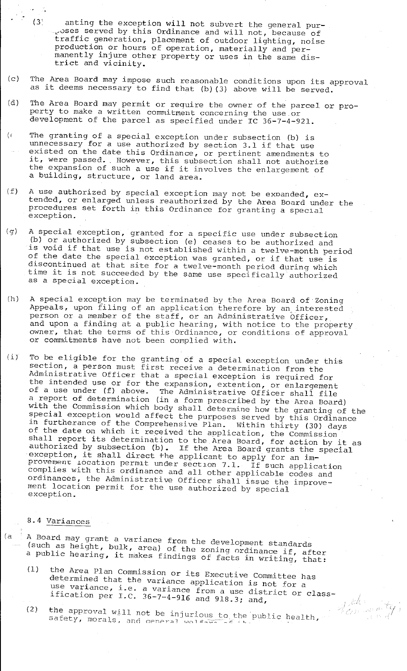- (3' anting the exception will not subvert the general pur- ~oses served by this Ordinance and will not, because of traffic generation, placement of outdoor lighting, noise production or hours of operation, materially and permanently injure other property or uses in the same dismanentry injure other<br>trict and vicinity.
- (c) The Area Board may impose such reasonable conditions upon its approval ine Area board may rmpose such reasonable conditions upon its approximate in that (b) (3) above will be served.
- (d) The Area Board may permit or require the owner of the parcel or property to make a written commitment concerning the use .or development of the parcel as specified under IC 36-7-4-921.
- (< The granting of a special exception under subsection (b) is unnecessary for a use authorized by section 3.1 if that use existed on the date this Ordinance, or pertinent amendments to it, were passed. However, this subsection shall not authorize the expansion of such a use if it involves the enlargement of a building, structure, or land area.
- (f) A use authorized by special exception may not be expanded, extended, or enlarged unless reauthorized by the Area Board under the procedures set forth in this Ordinance for granting a special exception.
- (g) A special exception, granted for a specific use under subsection (b) or authorized by subsection (e) ceases to be authorized and is void if that use is not established within a twelve-month period of the date the special exception was granted, or if that use is discontinued at that site for a twelve-month period during which time it is not succeeded by the same use specifically authorized as a special exception.
- (h) A special exception may be terminated by the Area Board of Zoning Appeals, upon filing of an application therefore by an interested person or a member of the staff, or an Administrative Officer, and upon a finding at a public hearing, with notice to the property owner, that the terms of this Ordinance, or conditions of approval or commitments have not been complied with.
- $(i)$  To be eligible for the granting of a special exception under this section, a person must first receive a determination from the Administrative Officer that a special exception is required for the intended use or for the expansion, extention, or enlargement of a use under (f) above. The Administrative Officer shall file a report of determination (in a form prescribed by the Area Board) with the Commission which body shall determine how the granting of the special exception would affect the purposes served by this Ordinance in furtherance of the Comprehensive Plan. Within thirty (30) days of the date on which it received the application, the Commission st the date on which it received the application, the Commission<br>shall report its determination to the Area Board, for action by it as authorized by subsection (b). If the Area Board grants the special authorized by subsection (b). If the Area Board grants the<br>exception, it shall direct the applicant to apply for an improvement iocation permit under section 7.1. If such application complies with this ordinance and all other applicable codes and ordinances, the Administrative Officer shall issue the improvement location permit for the use authorized by special exception.

#### 8. 4 Variances

- (a | A Board may grant a variance from the development standards (such as height, bulk, area) of the zoning ordinance if, after a public hearing, it makes findings of facts in writing, that:
	- (1) the Area Plan Commission or its Executive Committee has determined that the variance application is not for a use variance, i.e. a variance from a use district or classification per I.C. 36-7-4-916 and 918.3; and,
	- (2) the approval will not be injurious to the public health, **safety, morals, ar1rl** oPnPr.ril **1.1C>1** -i=--~·-.::.-;-.:.·--- **-.c:** · '-

/

 $_{i}$  jok  $\epsilon$ (Eren versitte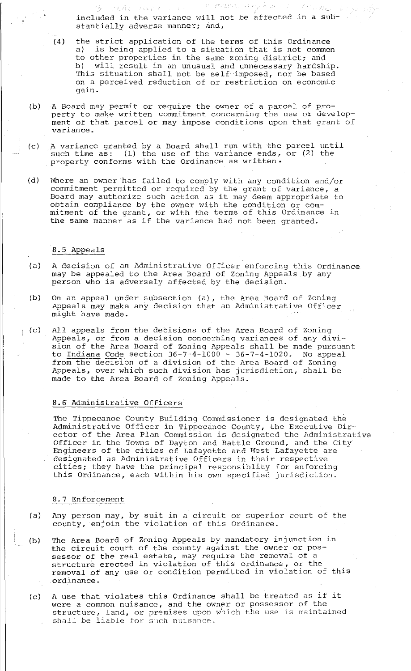included in the variance will not be affected in a substantially adverse manner; and,

 $\mathcal{U} = \mathcal{U} \mathcal{U} / \mathcal{I} \mathcal{U} / \mathcal{U}_0$ 

(4) the strict application of the terms of this Ordinance is being applied to a situation that is not common to other properties in the same zoning district; and<br>b) will result in an unusual and unnecessary hardshi will result in an unusual and unnecessary hardship. This situation shall not be self-imposed, nor be based on a perceived reduction of or restriction on economic gain.

 $\pm$  10

r CAV (Avent

- (b) A Board may permit or require the owner of a parcel of property to make written commitment concerning the use or development of that parcel or may impose conditions upon that grant of **variance.**
- (c) A variance granted by a Board shall run with the parcel until such time as: (1) the use of the variance ends, or (2) the property conforms with the Ordinance as written•
- (d) lVhere an owner has failed to comply with any condition and/or commitment permitted or required by the grant of variance, a Board may authorize such action as it may deem appropriate to obtain compliance by the owner with the condition or commitment of the grant, or with the terms of this Ordinance in the same manner as if the variance had not been granted.

## 8.5 Appeals

- (a) A decision of an Administrative Officer enforcing this Ordinance may be appealed to the Area Board of Zoning Appeals by any person who is adversely affected by the decision.
- (b) On an appeal under subsection (a), the Area Board of Zoning Appeals may make any decision that an Administrative Officer might have made.
- (c) All appeals from the decisions of the Area Board of Zoning Appeals, or from a decision concerning variances of any division of the Area Board of Zoning Appeals shall be made pursuant to Indiana Code section  $36 - 7 - 4 - 1000 - 36 - 7 - 4 - 1020$ . No appeal from the decision of a division of the Area Board of Zoning Appeals, over which such division has jurisdiction, shall be made to the Area Board of Zoning Appeals.

## 8.6 Administrative Officers

The Tippecanoe County Building Commissioner is designated the Administrative Officer in Tippecanoe County, the Executive Director of the Area Plan Commission is designated the Administrative Officer in the Towns of Dayton and Battle Ground, and the City Engineers of the cities of Lafayette and West Lafayette are designated as Administrative Officers in their respective cities; they have the principal responsiblity for enforcing this Ordinance, each within his own specified jurisdiction.

#### 8. 7 Enforcement

- (a) Any person may, by suit in a circuit or superior court of the county, enjoin the violation of this Ordinance.
- (b) The Area Board of Zoning Appeals by mandatory injunction in the circuit court of the county against the owner or possessor of the real estate, may require the removal of a structure erected in violation of this ordinance, or the removal of any use or condition permitted in violation of this ordinance.
- (c) A use that violates this Ordinance shall be treated as if it were a common nuisance, and the owner or possessor of the structure, land, or premises upon which the use is maintained shall be liable for such nuisance.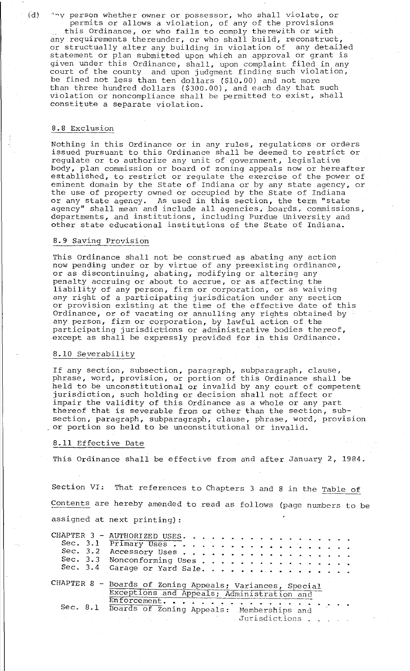(d)  $\gamma$   $\gamma$  person whether owner or possessor, who shall violate, or permits or allows a violation, of any of the provisions

this Ordinance, or who fails to comply therewith or with any requirements thereunder, or who shall build, reconstruct, or structually alter any building in violation of any detailed statement or plan submitted upon which an approval or grant is given under this Ordinance, shall, upon complaint filed in any court of the county and upon judgment finding such violation, be fined not less than ten dollars (\$10.00) and not more than three hundred dollars (\$300.00), and each day that such violation or noncompliance shall be permitted to exist, shall constitute a separate violation.

### 8.8 Exclusion

Nothing in this Ordinance or in any rules, regulations or orders issued pursuant to this Ordinance shall be deemed to restrict or regulate or to authorize any unit of government, legislative body, plan commission or board of zoning appeals now or hereafter established, to restrict or regulate the exercise of the power of eminent domain by the State of Indiana or by any state agency, or the use of property owned or occupied by the State of Indiana or any state agency. As used in this section, the term "state of any state agency. As used in this section, the term state<br>agency" shall mean and include all agencies, boards, commissions, departments, and institutions, including Purdue University and other state educational institutions of the State of Indiana.

#### 8.9 Saving Provision

This Ordinance shall not be construed as abating any action now pending under or by virtue of any preexisting ordinance, or as discontinuing, abating, modifying or altering any penalty accruing or about to accrue, or as affecting the liability of any person, firm or corporation, or as waiving any right of a participating jurisdication under any section or provision existing at the time of the effective date of this Ordinance, or of vacating or annulling any rights obtained by any person, firm or corporation, by lawful action of the participating jurisdictions or administrative bodies thereof, except as shall be expressly provided for in this Ordinance.

#### 8.10 Severability

If any section, subsection, paragraph, subparagraph, clause, phrase, word, provision, or portion of this Ordinance shall be held to be unconstitutional or invalid by any court of competent jurisdiction, such holding or decision shall not affect or impair the validity of this Ordinance as a whole or any part thereof that is severable from or other than the section, subsection, paragraph, subparagraph, clause, phrase, word, provision or portion so held to be unconstitutional or invalid.

## 8.11 Effective Date

This Ordinance shall be effective from and after January 2, 1984.

Section VI: That references to Chapters 3 and 8 in the Table of Contents are hereby amended to read as follows (page numbers to be assigned at next printing) :

| CHAPTER 3 - AUTHORIZED USES.                             |
|----------------------------------------------------------|
|                                                          |
| Sec. 3.2 Accessory Uses                                  |
| Sec. 3.3 Nonconforming Uses                              |
| Sec. 3.4 Garage or Yard Sale.                            |
| CHAPTER 8 - Boards of Zoning Appeals; Variances, Special |
| Exceptions and Appeals; Administration and               |
| Enforcement.                                             |
| Sec. 8.1 Boards of Zoning Appeals: Memberships and       |
| Marisdictions                                            |